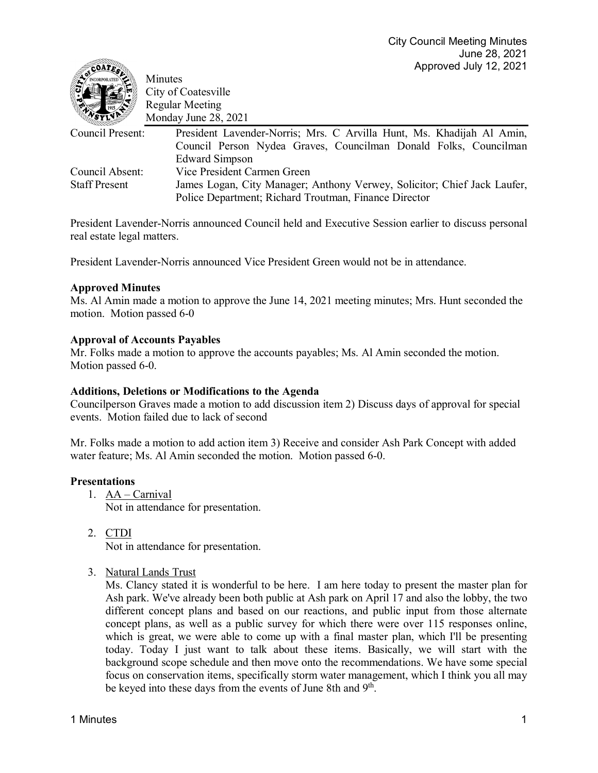| <b>CORPORATED</b><br>VSYIVE | Minutes<br>City of Coatesville<br><b>Regular Meeting</b>                 |
|-----------------------------|--------------------------------------------------------------------------|
|                             | Monday June 28, 2021                                                     |
| Council Present:            | President Lavender-Norris; Mrs. C Arvilla Hunt, Ms. Khadijah Al Amin,    |
|                             | Council Person Nydea Graves, Councilman Donald Folks, Councilman         |
|                             | <b>Edward Simpson</b>                                                    |
| Council Absent:             | Vice President Carmen Green                                              |
| <b>Staff Present</b>        | James Logan, City Manager; Anthony Verwey, Solicitor; Chief Jack Laufer, |
|                             | Police Department; Richard Troutman, Finance Director                    |

President Lavender-Norris announced Council held and Executive Session earlier to discuss personal real estate legal matters.

President Lavender-Norris announced Vice President Green would not be in attendance.

### **Approved Minutes**

 $\epsilon$ oatr $\mathbb{R}$ 

Ms. Al Amin made a motion to approve the June 14, 2021 meeting minutes; Mrs. Hunt seconded the motion. Motion passed 6-0

#### **Approval of Accounts Payables**

Mr. Folks made a motion to approve the accounts payables; Ms. Al Amin seconded the motion. Motion passed 6-0.

#### **Additions, Deletions or Modifications to the Agenda**

Councilperson Graves made a motion to add discussion item 2) Discuss days of approval for special events. Motion failed due to lack of second

Mr. Folks made a motion to add action item 3) Receive and consider Ash Park Concept with added water feature; Ms. Al Amin seconded the motion. Motion passed 6-0.

#### **Presentations**

- 1. AA Carnival Not in attendance for presentation.
- 2. CTDI Not in attendance for presentation.
- 3. Natural Lands Trust

Ms. Clancy stated it is wonderful to be here. I am here today to present the master plan for Ash park. We've already been both public at Ash park on April 17 and also the lobby, the two different concept plans and based on our reactions, and public input from those alternate concept plans, as well as a public survey for which there were over 115 responses online, which is great, we were able to come up with a final master plan, which I'll be presenting today. Today I just want to talk about these items. Basically, we will start with the background scope schedule and then move onto the recommendations. We have some special focus on conservation items, specifically storm water management, which I think you all may be keyed into these days from the events of June 8th and 9<sup>th</sup>.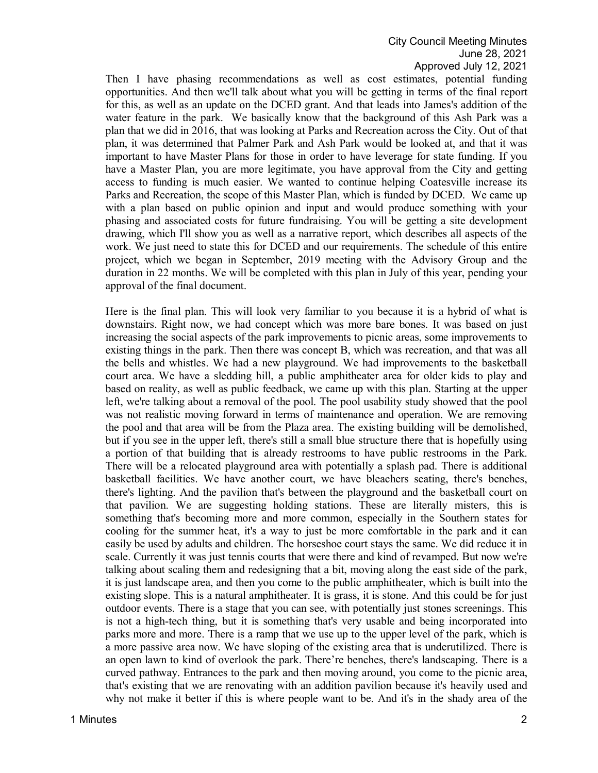## City Council Meeting Minutes June 28, 2021 Approved July 12, 2021

Then I have phasing recommendations as well as cost estimates, potential funding opportunities. And then we'll talk about what you will be getting in terms of the final report for this, as well as an update on the DCED grant. And that leads into James's addition of the water feature in the park. We basically know that the background of this Ash Park was a plan that we did in 2016, that was looking at Parks and Recreation across the City. Out of that plan, it was determined that Palmer Park and Ash Park would be looked at, and that it was important to have Master Plans for those in order to have leverage for state funding. If you have a Master Plan, you are more legitimate, you have approval from the City and getting access to funding is much easier. We wanted to continue helping Coatesville increase its Parks and Recreation, the scope of this Master Plan, which is funded by DCED. We came up with a plan based on public opinion and input and would produce something with your phasing and associated costs for future fundraising. You will be getting a site development drawing, which I'll show you as well as a narrative report, which describes all aspects of the work. We just need to state this for DCED and our requirements. The schedule of this entire project, which we began in September, 2019 meeting with the Advisory Group and the duration in 22 months. We will be completed with this plan in July of this year, pending your approval of the final document.

Here is the final plan. This will look very familiar to you because it is a hybrid of what is downstairs. Right now, we had concept which was more bare bones. It was based on just increasing the social aspects of the park improvements to picnic areas, some improvements to existing things in the park. Then there was concept B, which was recreation, and that was all the bells and whistles. We had a new playground. We had improvements to the basketball court area. We have a sledding hill, a public amphitheater area for older kids to play and based on reality, as well as public feedback, we came up with this plan. Starting at the upper left, we're talking about a removal of the pool. The pool usability study showed that the pool was not realistic moving forward in terms of maintenance and operation. We are removing the pool and that area will be from the Plaza area. The existing building will be demolished, but if you see in the upper left, there's still a small blue structure there that is hopefully using a portion of that building that is already restrooms to have public restrooms in the Park. There will be a relocated playground area with potentially a splash pad. There is additional basketball facilities. We have another court, we have bleachers seating, there's benches, there's lighting. And the pavilion that's between the playground and the basketball court on that pavilion. We are suggesting holding stations. These are literally misters, this is something that's becoming more and more common, especially in the Southern states for cooling for the summer heat, it's a way to just be more comfortable in the park and it can easily be used by adults and children. The horseshoe court stays the same. We did reduce it in scale. Currently it was just tennis courts that were there and kind of revamped. But now we're talking about scaling them and redesigning that a bit, moving along the east side of the park, it is just landscape area, and then you come to the public amphitheater, which is built into the existing slope. This is a natural amphitheater. It is grass, it is stone. And this could be for just outdoor events. There is a stage that you can see, with potentially just stones screenings. This is not a high-tech thing, but it is something that's very usable and being incorporated into parks more and more. There is a ramp that we use up to the upper level of the park, which is a more passive area now. We have sloping of the existing area that is underutilized. There is an open lawn to kind of overlook the park. There're benches, there's landscaping. There is a curved pathway. Entrances to the park and then moving around, you come to the picnic area, that's existing that we are renovating with an addition pavilion because it's heavily used and why not make it better if this is where people want to be. And it's in the shady area of the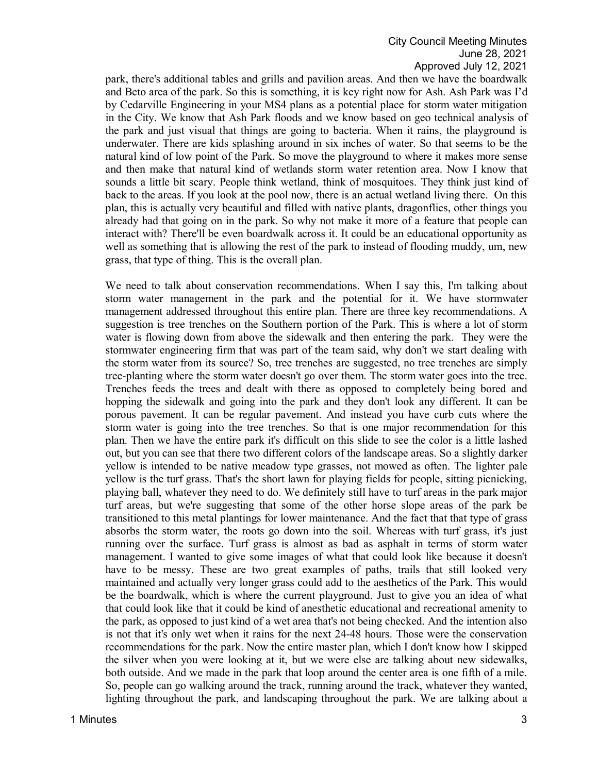# City Council Meeting Minutes June 28, 2021 Approved July 12, 2021

park, there's additional tables and grills and pavilion areas. And then we have the boardwalk and Beto area of the park. So this is something, it is key right now for Ash. Ash Park was I'd by Cedarville Engineering in your MS4 plans as a potential place for storm water mitigation in the City. We know that Ash Park floods and we know based on geo technical analysis of the park and just visual that things are going to bacteria. When it rains, the playground is underwater. There are kids splashing around in six inches of water. So that seems to be the natural kind of low point of the Park. So move the playground to where it makes more sense and then make that natural kind of wetlands storm water retention area. Now I know that sounds a little bit scary. People think wetland, think of mosquitoes. They think just kind of back to the areas. If you look at the pool now, there is an actual wetland living there. On this plan, this is actually very beautiful and filled with native plants, dragonflies, other things you already had that going on in the park. So why not make it more of a feature that people can interact with? There'll be even boardwalk across it. It could be an educational opportunity as well as something that is allowing the rest of the park to instead of flooding muddy, um, new grass, that type of thing. This is the overall plan.

We need to talk about conservation recommendations. When I say this, I'm talking about storm water management in the park and the potential for it. We have stormwater management addressed throughout this entire plan. There are three key recommendations. A suggestion is tree trenches on the Southern portion of the Park. This is where a lot of storm water is flowing down from above the sidewalk and then entering the park. They were the stormwater engineering firm that was part of the team said, why don't we start dealing with the storm water from its source? So, tree trenches are suggested, no tree trenches are simply tree-planting where the storm water doesn't go over them. The storm water goes into the tree. Trenches feeds the trees and dealt with there as opposed to completely being bored and hopping the sidewalk and going into the park and they don't look any different. It can be porous pavement. It can be regular pavement. And instead you have curb cuts where the storm water is going into the tree trenches. So that is one major recommendation for this plan. Then we have the entire park it's difficult on this slide to see the color is a little lashed out, but you can see that there two different colors of the landscape areas. So a slightly darker yellow is intended to be native meadow type grasses, not mowed as often. The lighter pale yellow is the turf grass. That's the short lawn for playing fields for people, sitting picnicking, playing ball, whatever they need to do. We definitely still have to turf areas in the park major turf areas, but we're suggesting that some of the other horse slope areas of the park be transitioned to this metal plantings for lower maintenance. And the fact that that type of grass absorbs the storm water, the roots go down into the soil. Whereas with turf grass, it's just running over the surface. Turf grass is almost as bad as asphalt in terms of storm water management. I wanted to give some images of what that could look like because it doesn't have to be messy. These are two great examples of paths, trails that still looked very maintained and actually very longer grass could add to the aesthetics of the Park. This would be the boardwalk, which is where the current playground. Just to give you an idea of what that could look like that it could be kind of anesthetic educational and recreational amenity to the park, as opposed to just kind of a wet area that's not being checked. And the intention also is not that it's only wet when it rains for the next 24-48 hours. Those were the conservation recommendations for the park. Now the entire master plan, which I don't know how I skipped the silver when you were looking at it, but we were else are talking about new sidewalks, both outside. And we made in the park that loop around the center area is one fifth of a mile. So, people can go walking around the track, running around the track, whatever they wanted, lighting throughout the park, and landscaping throughout the park. We are talking about a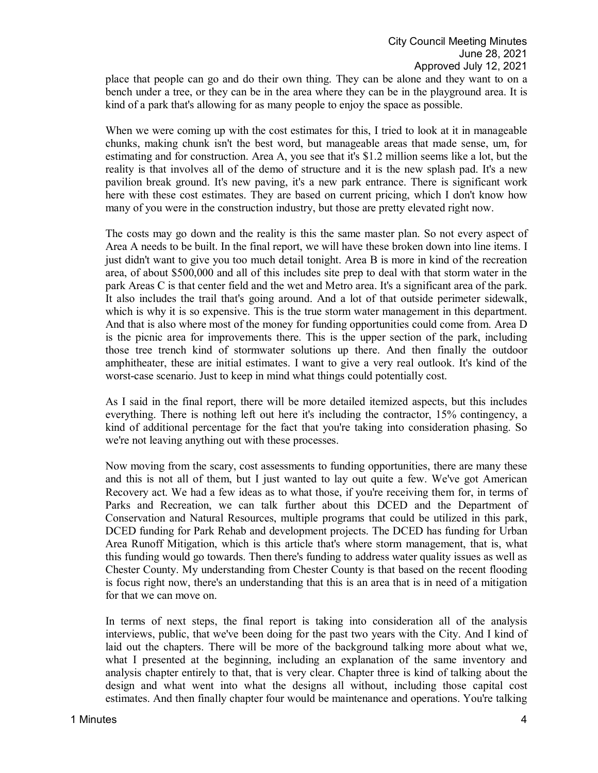place that people can go and do their own thing. They can be alone and they want to on a bench under a tree, or they can be in the area where they can be in the playground area. It is kind of a park that's allowing for as many people to enjoy the space as possible.

When we were coming up with the cost estimates for this, I tried to look at it in manageable chunks, making chunk isn't the best word, but manageable areas that made sense, um, for estimating and for construction. Area A, you see that it's \$1.2 million seems like a lot, but the reality is that involves all of the demo of structure and it is the new splash pad. It's a new pavilion break ground. It's new paving, it's a new park entrance. There is significant work here with these cost estimates. They are based on current pricing, which I don't know how many of you were in the construction industry, but those are pretty elevated right now.

The costs may go down and the reality is this the same master plan. So not every aspect of Area A needs to be built. In the final report, we will have these broken down into line items. I just didn't want to give you too much detail tonight. Area B is more in kind of the recreation area, of about \$500,000 and all of this includes site prep to deal with that storm water in the park Areas C is that center field and the wet and Metro area. It's a significant area of the park. It also includes the trail that's going around. And a lot of that outside perimeter sidewalk, which is why it is so expensive. This is the true storm water management in this department. And that is also where most of the money for funding opportunities could come from. Area D is the picnic area for improvements there. This is the upper section of the park, including those tree trench kind of stormwater solutions up there. And then finally the outdoor amphitheater, these are initial estimates. I want to give a very real outlook. It's kind of the worst-case scenario. Just to keep in mind what things could potentially cost.

As I said in the final report, there will be more detailed itemized aspects, but this includes everything. There is nothing left out here it's including the contractor, 15% contingency, a kind of additional percentage for the fact that you're taking into consideration phasing. So we're not leaving anything out with these processes.

Now moving from the scary, cost assessments to funding opportunities, there are many these and this is not all of them, but I just wanted to lay out quite a few. We've got American Recovery act. We had a few ideas as to what those, if you're receiving them for, in terms of Parks and Recreation, we can talk further about this DCED and the Department of Conservation and Natural Resources, multiple programs that could be utilized in this park, DCED funding for Park Rehab and development projects. The DCED has funding for Urban Area Runoff Mitigation, which is this article that's where storm management, that is, what this funding would go towards. Then there's funding to address water quality issues as well as Chester County. My understanding from Chester County is that based on the recent flooding is focus right now, there's an understanding that this is an area that is in need of a mitigation for that we can move on.

In terms of next steps, the final report is taking into consideration all of the analysis interviews, public, that we've been doing for the past two years with the City. And I kind of laid out the chapters. There will be more of the background talking more about what we, what I presented at the beginning, including an explanation of the same inventory and analysis chapter entirely to that, that is very clear. Chapter three is kind of talking about the design and what went into what the designs all without, including those capital cost estimates. And then finally chapter four would be maintenance and operations. You're talking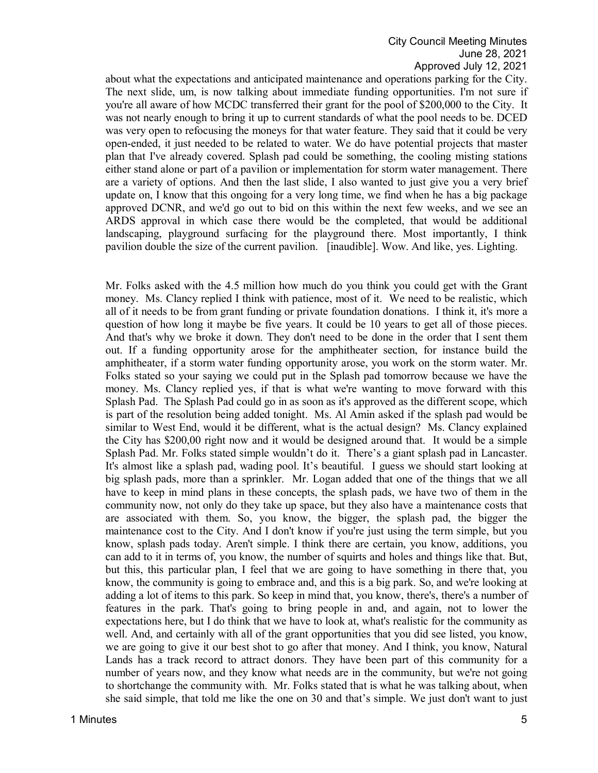about what the expectations and anticipated maintenance and operations parking for the City. The next slide, um, is now talking about immediate funding opportunities. I'm not sure if you're all aware of how MCDC transferred their grant for the pool of \$200,000 to the City. It was not nearly enough to bring it up to current standards of what the pool needs to be. DCED was very open to refocusing the moneys for that water feature. They said that it could be very open-ended, it just needed to be related to water. We do have potential projects that master plan that I've already covered. Splash pad could be something, the cooling misting stations either stand alone or part of a pavilion or implementation for storm water management. There are a variety of options. And then the last slide, I also wanted to just give you a very brief update on, I know that this ongoing for a very long time, we find when he has a big package approved DCNR, and we'd go out to bid on this within the next few weeks, and we see an ARDS approval in which case there would be the completed, that would be additional landscaping, playground surfacing for the playground there. Most importantly, I think pavilion double the size of the current pavilion. [inaudible]. Wow. And like, yes. Lighting.

Mr. Folks asked with the 4.5 million how much do you think you could get with the Grant money. Ms. Clancy replied I think with patience, most of it. We need to be realistic, which all of it needs to be from grant funding or private foundation donations. I think it, it's more a question of how long it maybe be five years. It could be 10 years to get all of those pieces. And that's why we broke it down. They don't need to be done in the order that I sent them out. If a funding opportunity arose for the amphitheater section, for instance build the amphitheater, if a storm water funding opportunity arose, you work on the storm water. Mr. Folks stated so your saying we could put in the Splash pad tomorrow because we have the money. Ms. Clancy replied yes, if that is what we're wanting to move forward with this Splash Pad. The Splash Pad could go in as soon as it's approved as the different scope, which is part of the resolution being added tonight. Ms. Al Amin asked if the splash pad would be similar to West End, would it be different, what is the actual design? Ms. Clancy explained the City has \$200,00 right now and it would be designed around that. It would be a simple Splash Pad. Mr. Folks stated simple wouldn't do it. There's a giant splash pad in Lancaster. It's almost like a splash pad, wading pool. It's beautiful. I guess we should start looking at big splash pads, more than a sprinkler. Mr. Logan added that one of the things that we all have to keep in mind plans in these concepts, the splash pads, we have two of them in the community now, not only do they take up space, but they also have a maintenance costs that are associated with them. So, you know, the bigger, the splash pad, the bigger the maintenance cost to the City. And I don't know if you're just using the term simple, but you know, splash pads today. Aren't simple. I think there are certain, you know, additions, you can add to it in terms of, you know, the number of squirts and holes and things like that. But, but this, this particular plan, I feel that we are going to have something in there that, you know, the community is going to embrace and, and this is a big park. So, and we're looking at adding a lot of items to this park. So keep in mind that, you know, there's, there's a number of features in the park. That's going to bring people in and, and again, not to lower the expectations here, but I do think that we have to look at, what's realistic for the community as well. And, and certainly with all of the grant opportunities that you did see listed, you know, we are going to give it our best shot to go after that money. And I think, you know, Natural Lands has a track record to attract donors. They have been part of this community for a number of years now, and they know what needs are in the community, but we're not going to shortchange the community with. Mr. Folks stated that is what he was talking about, when she said simple, that told me like the one on 30 and that's simple. We just don't want to just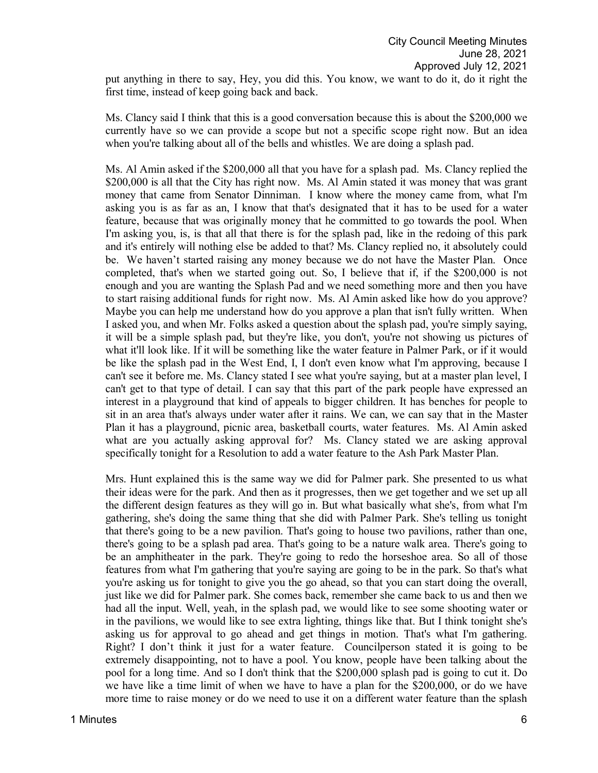put anything in there to say, Hey, you did this. You know, we want to do it, do it right the first time, instead of keep going back and back.

Ms. Clancy said I think that this is a good conversation because this is about the \$200,000 we currently have so we can provide a scope but not a specific scope right now. But an idea when you're talking about all of the bells and whistles. We are doing a splash pad.

Ms. Al Amin asked if the \$200,000 all that you have for a splash pad. Ms. Clancy replied the \$200,000 is all that the City has right now. Ms. Al Amin stated it was money that was grant money that came from Senator Dinniman. I know where the money came from, what I'm asking you is as far as an, I know that that's designated that it has to be used for a water feature, because that was originally money that he committed to go towards the pool. When I'm asking you, is, is that all that there is for the splash pad, like in the redoing of this park and it's entirely will nothing else be added to that? Ms. Clancy replied no, it absolutely could be. We haven't started raising any money because we do not have the Master Plan. Once completed, that's when we started going out. So, I believe that if, if the \$200,000 is not enough and you are wanting the Splash Pad and we need something more and then you have to start raising additional funds for right now. Ms. Al Amin asked like how do you approve? Maybe you can help me understand how do you approve a plan that isn't fully written. When I asked you, and when Mr. Folks asked a question about the splash pad, you're simply saying, it will be a simple splash pad, but they're like, you don't, you're not showing us pictures of what it'll look like. If it will be something like the water feature in Palmer Park, or if it would be like the splash pad in the West End, I, I don't even know what I'm approving, because I can't see it before me. Ms. Clancy stated I see what you're saying, but at a master plan level, I can't get to that type of detail. I can say that this part of the park people have expressed an interest in a playground that kind of appeals to bigger children. It has benches for people to sit in an area that's always under water after it rains. We can, we can say that in the Master Plan it has a playground, picnic area, basketball courts, water features. Ms. Al Amin asked what are you actually asking approval for? Ms. Clancy stated we are asking approval specifically tonight for a Resolution to add a water feature to the Ash Park Master Plan.

Mrs. Hunt explained this is the same way we did for Palmer park. She presented to us what their ideas were for the park. And then as it progresses, then we get together and we set up all the different design features as they will go in. But what basically what she's, from what I'm gathering, she's doing the same thing that she did with Palmer Park. She's telling us tonight that there's going to be a new pavilion. That's going to house two pavilions, rather than one, there's going to be a splash pad area. That's going to be a nature walk area. There's going to be an amphitheater in the park. They're going to redo the horseshoe area. So all of those features from what I'm gathering that you're saying are going to be in the park. So that's what you're asking us for tonight to give you the go ahead, so that you can start doing the overall, just like we did for Palmer park. She comes back, remember she came back to us and then we had all the input. Well, yeah, in the splash pad, we would like to see some shooting water or in the pavilions, we would like to see extra lighting, things like that. But I think tonight she's asking us for approval to go ahead and get things in motion. That's what I'm gathering. Right? I don't think it just for a water feature. Councilperson stated it is going to be extremely disappointing, not to have a pool. You know, people have been talking about the pool for a long time. And so I don't think that the \$200,000 splash pad is going to cut it. Do we have like a time limit of when we have to have a plan for the \$200,000, or do we have more time to raise money or do we need to use it on a different water feature than the splash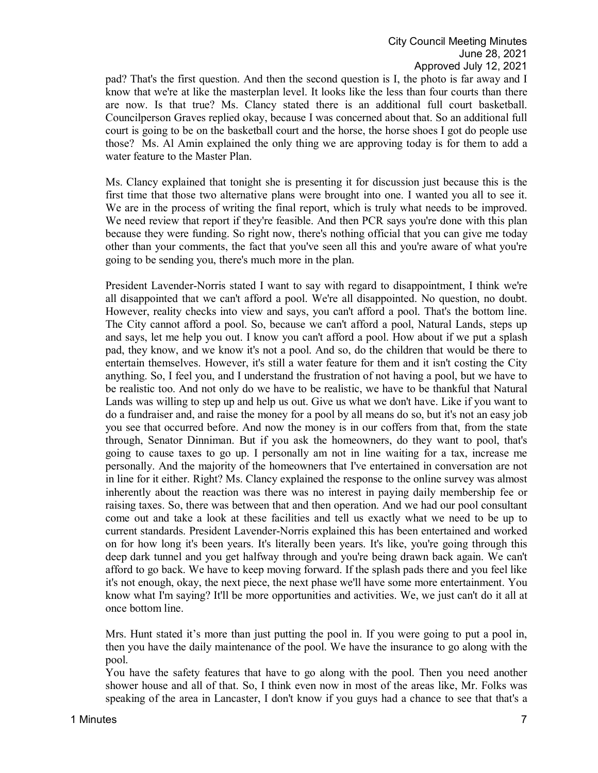pad? That's the first question. And then the second question is I, the photo is far away and I know that we're at like the masterplan level. It looks like the less than four courts than there are now. Is that true? Ms. Clancy stated there is an additional full court basketball. Councilperson Graves replied okay, because I was concerned about that. So an additional full court is going to be on the basketball court and the horse, the horse shoes I got do people use those? Ms. Al Amin explained the only thing we are approving today is for them to add a water feature to the Master Plan.

Ms. Clancy explained that tonight she is presenting it for discussion just because this is the first time that those two alternative plans were brought into one. I wanted you all to see it. We are in the process of writing the final report, which is truly what needs to be improved. We need review that report if they're feasible. And then PCR says you're done with this plan because they were funding. So right now, there's nothing official that you can give me today other than your comments, the fact that you've seen all this and you're aware of what you're going to be sending you, there's much more in the plan.

President Lavender-Norris stated I want to say with regard to disappointment, I think we're all disappointed that we can't afford a pool. We're all disappointed. No question, no doubt. However, reality checks into view and says, you can't afford a pool. That's the bottom line. The City cannot afford a pool. So, because we can't afford a pool, Natural Lands, steps up and says, let me help you out. I know you can't afford a pool. How about if we put a splash pad, they know, and we know it's not a pool. And so, do the children that would be there to entertain themselves. However, it's still a water feature for them and it isn't costing the City anything. So, I feel you, and I understand the frustration of not having a pool, but we have to be realistic too. And not only do we have to be realistic, we have to be thankful that Natural Lands was willing to step up and help us out. Give us what we don't have. Like if you want to do a fundraiser and, and raise the money for a pool by all means do so, but it's not an easy job you see that occurred before. And now the money is in our coffers from that, from the state through, Senator Dinniman. But if you ask the homeowners, do they want to pool, that's going to cause taxes to go up. I personally am not in line waiting for a tax, increase me personally. And the majority of the homeowners that I've entertained in conversation are not in line for it either. Right? Ms. Clancy explained the response to the online survey was almost inherently about the reaction was there was no interest in paying daily membership fee or raising taxes. So, there was between that and then operation. And we had our pool consultant come out and take a look at these facilities and tell us exactly what we need to be up to current standards. President Lavender-Norris explained this has been entertained and worked on for how long it's been years. It's literally been years. It's like, you're going through this deep dark tunnel and you get halfway through and you're being drawn back again. We can't afford to go back. We have to keep moving forward. If the splash pads there and you feel like it's not enough, okay, the next piece, the next phase we'll have some more entertainment. You know what I'm saying? It'll be more opportunities and activities. We, we just can't do it all at once bottom line.

Mrs. Hunt stated it's more than just putting the pool in. If you were going to put a pool in, then you have the daily maintenance of the pool. We have the insurance to go along with the pool.

You have the safety features that have to go along with the pool. Then you need another shower house and all of that. So, I think even now in most of the areas like, Mr. Folks was speaking of the area in Lancaster, I don't know if you guys had a chance to see that that's a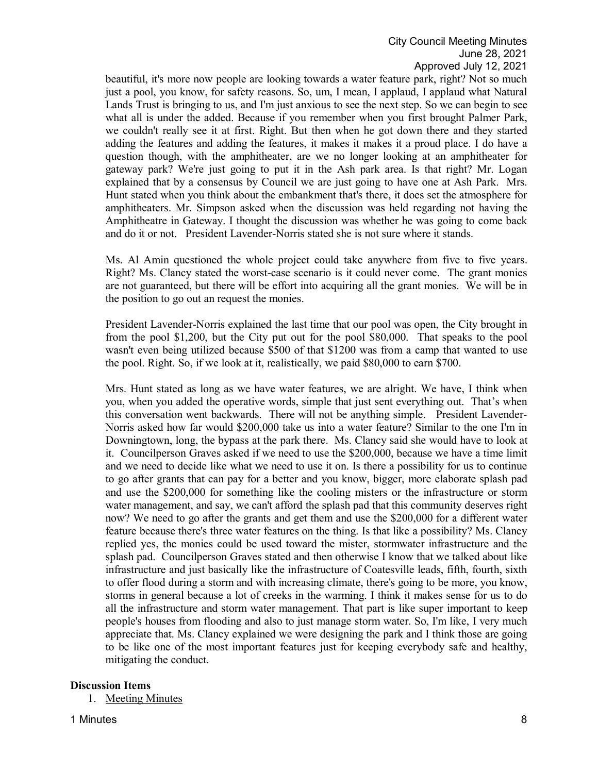beautiful, it's more now people are looking towards a water feature park, right? Not so much just a pool, you know, for safety reasons. So, um, I mean, I applaud, I applaud what Natural Lands Trust is bringing to us, and I'm just anxious to see the next step. So we can begin to see what all is under the added. Because if you remember when you first brought Palmer Park, we couldn't really see it at first. Right. But then when he got down there and they started adding the features and adding the features, it makes it makes it a proud place. I do have a question though, with the amphitheater, are we no longer looking at an amphitheater for gateway park? We're just going to put it in the Ash park area. Is that right? Mr. Logan explained that by a consensus by Council we are just going to have one at Ash Park. Mrs. Hunt stated when you think about the embankment that's there, it does set the atmosphere for amphitheaters. Mr. Simpson asked when the discussion was held regarding not having the Amphitheatre in Gateway. I thought the discussion was whether he was going to come back and do it or not. President Lavender-Norris stated she is not sure where it stands.

Ms. Al Amin questioned the whole project could take anywhere from five to five years. Right? Ms. Clancy stated the worst-case scenario is it could never come. The grant monies are not guaranteed, but there will be effort into acquiring all the grant monies. We will be in the position to go out an request the monies.

President Lavender-Norris explained the last time that our pool was open, the City brought in from the pool \$1,200, but the City put out for the pool \$80,000. That speaks to the pool wasn't even being utilized because \$500 of that \$1200 was from a camp that wanted to use the pool. Right. So, if we look at it, realistically, we paid \$80,000 to earn \$700.

Mrs. Hunt stated as long as we have water features, we are alright. We have, I think when you, when you added the operative words, simple that just sent everything out. That's when this conversation went backwards. There will not be anything simple. President Lavender-Norris asked how far would \$200,000 take us into a water feature? Similar to the one I'm in Downingtown, long, the bypass at the park there. Ms. Clancy said she would have to look at it. Councilperson Graves asked if we need to use the \$200,000, because we have a time limit and we need to decide like what we need to use it on. Is there a possibility for us to continue to go after grants that can pay for a better and you know, bigger, more elaborate splash pad and use the \$200,000 for something like the cooling misters or the infrastructure or storm water management, and say, we can't afford the splash pad that this community deserves right now? We need to go after the grants and get them and use the \$200,000 for a different water feature because there's three water features on the thing. Is that like a possibility? Ms. Clancy replied yes, the monies could be used toward the mister, stormwater infrastructure and the splash pad. Councilperson Graves stated and then otherwise I know that we talked about like infrastructure and just basically like the infrastructure of Coatesville leads, fifth, fourth, sixth to offer flood during a storm and with increasing climate, there's going to be more, you know, storms in general because a lot of creeks in the warming. I think it makes sense for us to do all the infrastructure and storm water management. That part is like super important to keep people's houses from flooding and also to just manage storm water. So, I'm like, I very much appreciate that. Ms. Clancy explained we were designing the park and I think those are going to be like one of the most important features just for keeping everybody safe and healthy, mitigating the conduct.

#### **Discussion Items**

1. Meeting Minutes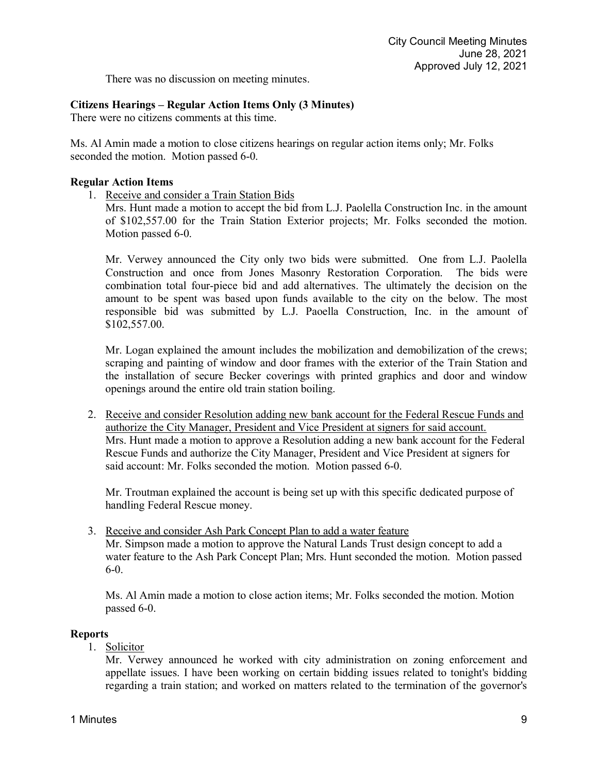There was no discussion on meeting minutes.

# **Citizens Hearings – Regular Action Items Only (3 Minutes)**

There were no citizens comments at this time.

Ms. Al Amin made a motion to close citizens hearings on regular action items only; Mr. Folks seconded the motion. Motion passed 6-0.

### **Regular Action Items**

1. Receive and consider a Train Station Bids

Mrs. Hunt made a motion to accept the bid from L.J. Paolella Construction Inc. in the amount of \$102,557.00 for the Train Station Exterior projects; Mr. Folks seconded the motion. Motion passed 6-0.

Mr. Verwey announced the City only two bids were submitted. One from L.J. Paolella Construction and once from Jones Masonry Restoration Corporation. The bids were combination total four-piece bid and add alternatives. The ultimately the decision on the amount to be spent was based upon funds available to the city on the below. The most responsible bid was submitted by L.J. Paoella Construction, Inc. in the amount of \$102,557.00.

Mr. Logan explained the amount includes the mobilization and demobilization of the crews; scraping and painting of window and door frames with the exterior of the Train Station and the installation of secure Becker coverings with printed graphics and door and window openings around the entire old train station boiling.

2. Receive and consider Resolution adding new bank account for the Federal Rescue Funds and authorize the City Manager, President and Vice President at signers for said account. Mrs. Hunt made a motion to approve a Resolution adding a new bank account for the Federal Rescue Funds and authorize the City Manager, President and Vice President at signers for said account: Mr. Folks seconded the motion. Motion passed 6-0.

Mr. Troutman explained the account is being set up with this specific dedicated purpose of handling Federal Rescue money.

3. Receive and consider Ash Park Concept Plan to add a water feature Mr. Simpson made a motion to approve the Natural Lands Trust design concept to add a water feature to the Ash Park Concept Plan; Mrs. Hunt seconded the motion. Motion passed 6-0.

Ms. Al Amin made a motion to close action items; Mr. Folks seconded the motion. Motion passed 6-0.

## **Reports**

1. Solicitor

Mr. Verwey announced he worked with city administration on zoning enforcement and appellate issues. I have been working on certain bidding issues related to tonight's bidding regarding a train station; and worked on matters related to the termination of the governor's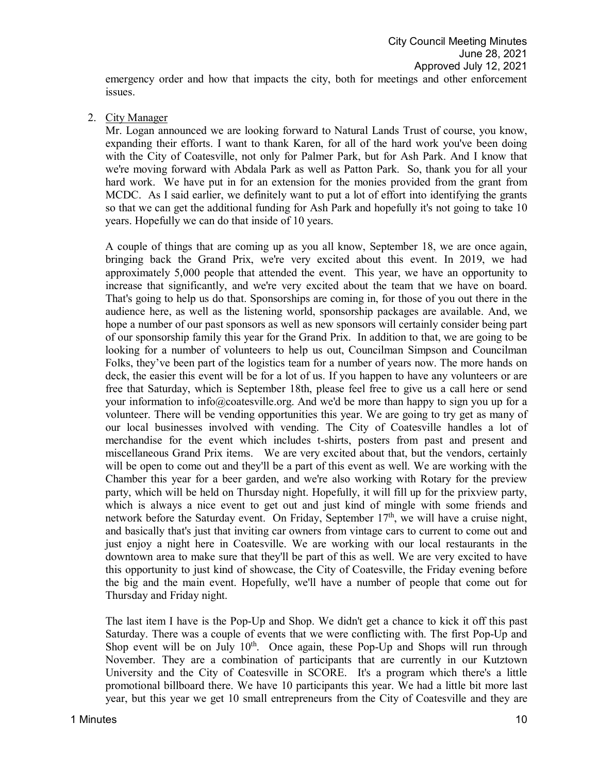emergency order and how that impacts the city, both for meetings and other enforcement issues.

2. City Manager

Mr. Logan announced we are looking forward to Natural Lands Trust of course, you know, expanding their efforts. I want to thank Karen, for all of the hard work you've been doing with the City of Coatesville, not only for Palmer Park, but for Ash Park. And I know that we're moving forward with Abdala Park as well as Patton Park. So, thank you for all your hard work. We have put in for an extension for the monies provided from the grant from MCDC. As I said earlier, we definitely want to put a lot of effort into identifying the grants so that we can get the additional funding for Ash Park and hopefully it's not going to take 10 years. Hopefully we can do that inside of 10 years.

A couple of things that are coming up as you all know, September 18, we are once again, bringing back the Grand Prix, we're very excited about this event. In 2019, we had approximately 5,000 people that attended the event. This year, we have an opportunity to increase that significantly, and we're very excited about the team that we have on board. That's going to help us do that. Sponsorships are coming in, for those of you out there in the audience here, as well as the listening world, sponsorship packages are available. And, we hope a number of our past sponsors as well as new sponsors will certainly consider being part of our sponsorship family this year for the Grand Prix. In addition to that, we are going to be looking for a number of volunteers to help us out, Councilman Simpson and Councilman Folks, they've been part of the logistics team for a number of years now. The more hands on deck, the easier this event will be for a lot of us. If you happen to have any volunteers or are free that Saturday, which is September 18th, please feel free to give us a call here or send your information to info@coatesville.org. And we'd be more than happy to sign you up for a volunteer. There will be vending opportunities this year. We are going to try get as many of our local businesses involved with vending. The City of Coatesville handles a lot of merchandise for the event which includes t-shirts, posters from past and present and miscellaneous Grand Prix items. We are very excited about that, but the vendors, certainly will be open to come out and they'll be a part of this event as well. We are working with the Chamber this year for a beer garden, and we're also working with Rotary for the preview party, which will be held on Thursday night. Hopefully, it will fill up for the prixview party, which is always a nice event to get out and just kind of mingle with some friends and network before the Saturday event. On Friday, September 17<sup>th</sup>, we will have a cruise night, and basically that's just that inviting car owners from vintage cars to current to come out and just enjoy a night here in Coatesville. We are working with our local restaurants in the downtown area to make sure that they'll be part of this as well. We are very excited to have this opportunity to just kind of showcase, the City of Coatesville, the Friday evening before the big and the main event. Hopefully, we'll have a number of people that come out for Thursday and Friday night.

The last item I have is the Pop-Up and Shop. We didn't get a chance to kick it off this past Saturday. There was a couple of events that we were conflicting with. The first Pop-Up and Shop event will be on July  $10<sup>th</sup>$ . Once again, these Pop-Up and Shops will run through November. They are a combination of participants that are currently in our Kutztown University and the City of Coatesville in SCORE. It's a program which there's a little promotional billboard there. We have 10 participants this year. We had a little bit more last year, but this year we get 10 small entrepreneurs from the City of Coatesville and they are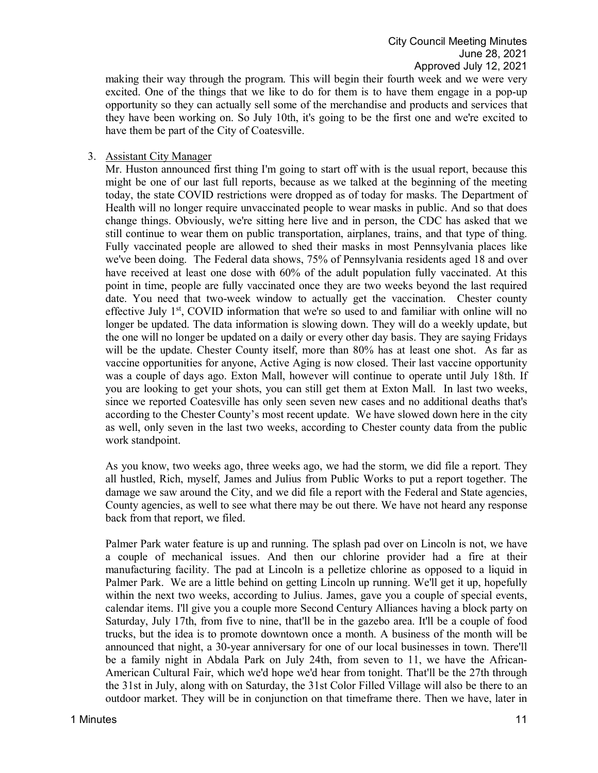making their way through the program. This will begin their fourth week and we were very excited. One of the things that we like to do for them is to have them engage in a pop-up opportunity so they can actually sell some of the merchandise and products and services that they have been working on. So July 10th, it's going to be the first one and we're excited to have them be part of the City of Coatesville.

### 3. Assistant City Manager

Mr. Huston announced first thing I'm going to start off with is the usual report, because this might be one of our last full reports, because as we talked at the beginning of the meeting today, the state COVID restrictions were dropped as of today for masks. The Department of Health will no longer require unvaccinated people to wear masks in public. And so that does change things. Obviously, we're sitting here live and in person, the CDC has asked that we still continue to wear them on public transportation, airplanes, trains, and that type of thing. Fully vaccinated people are allowed to shed their masks in most Pennsylvania places like we've been doing. The Federal data shows, 75% of Pennsylvania residents aged 18 and over have received at least one dose with 60% of the adult population fully vaccinated. At this point in time, people are fully vaccinated once they are two weeks beyond the last required date. You need that two-week window to actually get the vaccination. Chester county effective July  $1<sup>st</sup>$ , COVID information that we're so used to and familiar with online will no longer be updated. The data information is slowing down. They will do a weekly update, but the one will no longer be updated on a daily or every other day basis. They are saying Fridays will be the update. Chester County itself, more than 80% has at least one shot. As far as vaccine opportunities for anyone, Active Aging is now closed. Their last vaccine opportunity was a couple of days ago. Exton Mall, however will continue to operate until July 18th. If you are looking to get your shots, you can still get them at Exton Mall. In last two weeks, since we reported Coatesville has only seen seven new cases and no additional deaths that's according to the Chester County's most recent update. We have slowed down here in the city as well, only seven in the last two weeks, according to Chester county data from the public work standpoint.

As you know, two weeks ago, three weeks ago, we had the storm, we did file a report. They all hustled, Rich, myself, James and Julius from Public Works to put a report together. The damage we saw around the City, and we did file a report with the Federal and State agencies, County agencies, as well to see what there may be out there. We have not heard any response back from that report, we filed.

Palmer Park water feature is up and running. The splash pad over on Lincoln is not, we have a couple of mechanical issues. And then our chlorine provider had a fire at their manufacturing facility. The pad at Lincoln is a pelletize chlorine as opposed to a liquid in Palmer Park. We are a little behind on getting Lincoln up running. We'll get it up, hopefully within the next two weeks, according to Julius. James, gave you a couple of special events, calendar items. I'll give you a couple more Second Century Alliances having a block party on Saturday, July 17th, from five to nine, that'll be in the gazebo area. It'll be a couple of food trucks, but the idea is to promote downtown once a month. A business of the month will be announced that night, a 30-year anniversary for one of our local businesses in town. There'll be a family night in Abdala Park on July 24th, from seven to 11, we have the African-American Cultural Fair, which we'd hope we'd hear from tonight. That'll be the 27th through the 31st in July, along with on Saturday, the 31st Color Filled Village will also be there to an outdoor market. They will be in conjunction on that timeframe there. Then we have, later in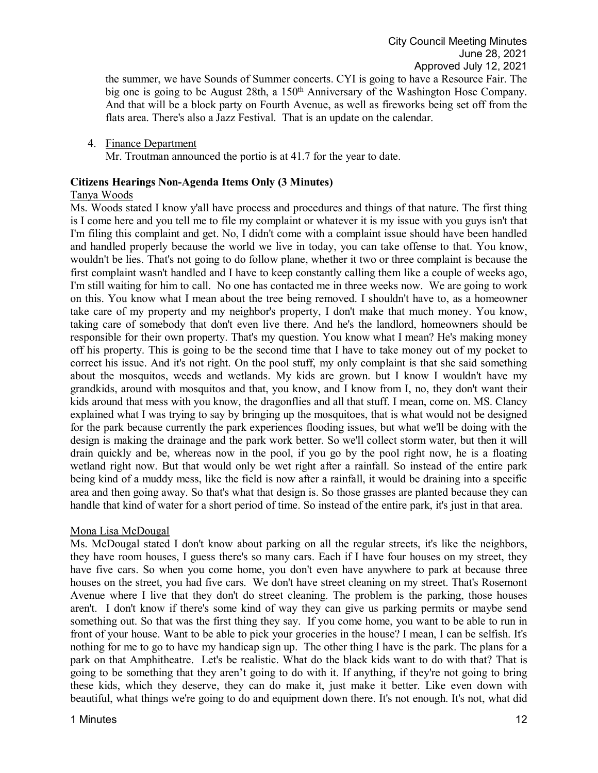the summer, we have Sounds of Summer concerts. CYI is going to have a Resource Fair. The big one is going to be August 28th, a 150<sup>th</sup> Anniversary of the Washington Hose Company. And that will be a block party on Fourth Avenue, as well as fireworks being set off from the flats area. There's also a Jazz Festival. That is an update on the calendar.

4. Finance Department Mr. Troutman announced the portio is at 41.7 for the year to date.

## **Citizens Hearings Non-Agenda Items Only (3 Minutes)**

### Tanya Woods

Ms. Woods stated I know y'all have process and procedures and things of that nature. The first thing is I come here and you tell me to file my complaint or whatever it is my issue with you guys isn't that I'm filing this complaint and get. No, I didn't come with a complaint issue should have been handled and handled properly because the world we live in today, you can take offense to that. You know, wouldn't be lies. That's not going to do follow plane, whether it two or three complaint is because the first complaint wasn't handled and I have to keep constantly calling them like a couple of weeks ago, I'm still waiting for him to call. No one has contacted me in three weeks now. We are going to work on this. You know what I mean about the tree being removed. I shouldn't have to, as a homeowner take care of my property and my neighbor's property, I don't make that much money. You know, taking care of somebody that don't even live there. And he's the landlord, homeowners should be responsible for their own property. That's my question. You know what I mean? He's making money off his property. This is going to be the second time that I have to take money out of my pocket to correct his issue. And it's not right. On the pool stuff, my only complaint is that she said something about the mosquitos, weeds and wetlands. My kids are grown. but I know I wouldn't have my grandkids, around with mosquitos and that, you know, and I know from I, no, they don't want their kids around that mess with you know, the dragonflies and all that stuff. I mean, come on. MS. Clancy explained what I was trying to say by bringing up the mosquitoes, that is what would not be designed for the park because currently the park experiences flooding issues, but what we'll be doing with the design is making the drainage and the park work better. So we'll collect storm water, but then it will drain quickly and be, whereas now in the pool, if you go by the pool right now, he is a floating wetland right now. But that would only be wet right after a rainfall. So instead of the entire park being kind of a muddy mess, like the field is now after a rainfall, it would be draining into a specific area and then going away. So that's what that design is. So those grasses are planted because they can handle that kind of water for a short period of time. So instead of the entire park, it's just in that area.

## Mona Lisa McDougal

Ms. McDougal stated I don't know about parking on all the regular streets, it's like the neighbors, they have room houses, I guess there's so many cars. Each if I have four houses on my street, they have five cars. So when you come home, you don't even have anywhere to park at because three houses on the street, you had five cars. We don't have street cleaning on my street. That's Rosemont Avenue where I live that they don't do street cleaning. The problem is the parking, those houses aren't. I don't know if there's some kind of way they can give us parking permits or maybe send something out. So that was the first thing they say. If you come home, you want to be able to run in front of your house. Want to be able to pick your groceries in the house? I mean, I can be selfish. It's nothing for me to go to have my handicap sign up. The other thing I have is the park. The plans for a park on that Amphitheatre. Let's be realistic. What do the black kids want to do with that? That is going to be something that they aren't going to do with it. If anything, if they're not going to bring these kids, which they deserve, they can do make it, just make it better. Like even down with beautiful, what things we're going to do and equipment down there. It's not enough. It's not, what did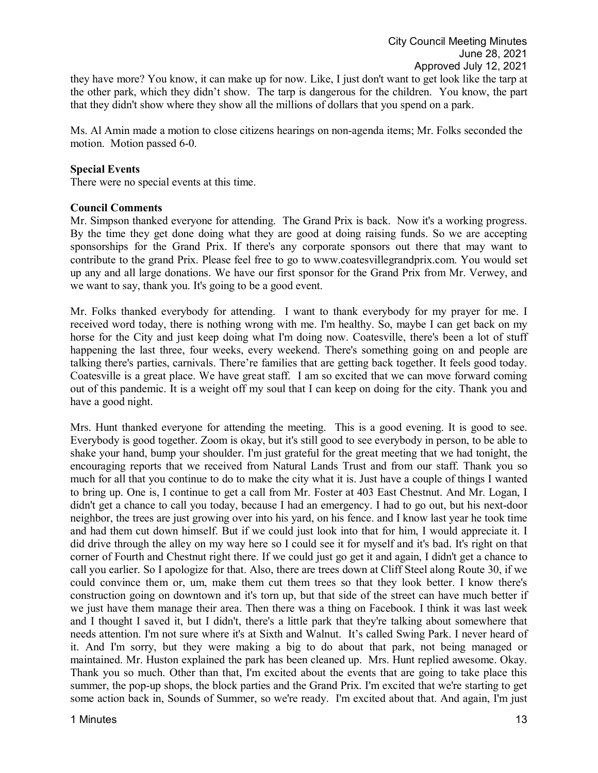they have more? You know, it can make up for now. Like, I just don't want to get look like the tarp at the other park, which they didn't show. The tarp is dangerous for the children. You know, the part that they didn't show where they show all the millions of dollars that you spend on a park.

Ms. Al Amin made a motion to close citizens hearings on non-agenda items; Mr. Folks seconded the motion. Motion passed 6-0.

#### **Special Events**

There were no special events at this time.

#### **Council Comments**

Mr. Simpson thanked everyone for attending. The Grand Prix is back. Now it's a working progress. By the time they get done doing what they are good at doing raising funds. So we are accepting sponsorships for the Grand Prix. If there's any corporate sponsors out there that may want to contribute to the grand Prix. Please feel free to go to www.coatesvillegrandprix.com. You would set up any and all large donations. We have our first sponsor for the Grand Prix from Mr. Verwey, and we want to say, thank you. It's going to be a good event.

Mr. Folks thanked everybody for attending. I want to thank everybody for my prayer for me. I received word today, there is nothing wrong with me. I'm healthy. So, maybe I can get back on my horse for the City and just keep doing what I'm doing now. Coatesville, there's been a lot of stuff happening the last three, four weeks, every weekend. There's something going on and people are talking there's parties, carnivals. There're families that are getting back together. It feels good today. Coatesville is a great place. We have great staff. I am so excited that we can move forward coming out of this pandemic. It is a weight off my soul that I can keep on doing for the city. Thank you and have a good night.

Mrs. Hunt thanked everyone for attending the meeting. This is a good evening. It is good to see. Everybody is good together. Zoom is okay, but it's still good to see everybody in person, to be able to shake your hand, bump your shoulder. I'm just grateful for the great meeting that we had tonight, the encouraging reports that we received from Natural Lands Trust and from our staff. Thank you so much for all that you continue to do to make the city what it is. Just have a couple of things I wanted to bring up. One is, I continue to get a call from Mr. Foster at 403 East Chestnut. And Mr. Logan, I didn't get a chance to call you today, because I had an emergency. I had to go out, but his next-door neighbor, the trees are just growing over into his yard, on his fence. and I know last year he took time and had them cut down himself. But if we could just look into that for him, I would appreciate it. I did drive through the alley on my way here so I could see it for myself and it's bad. It's right on that corner of Fourth and Chestnut right there. If we could just go get it and again, I didn't get a chance to call you earlier. So I apologize for that. Also, there are trees down at Cliff Steel along Route 30, if we could convince them or, um, make them cut them trees so that they look better. I know there's construction going on downtown and it's torn up, but that side of the street can have much better if we just have them manage their area. Then there was a thing on Facebook. I think it was last week and I thought I saved it, but I didn't, there's a little park that they're talking about somewhere that needs attention. I'm not sure where it's at Sixth and Walnut. It's called Swing Park. I never heard of it. And I'm sorry, but they were making a big to do about that park, not being managed or maintained. Mr. Huston explained the park has been cleaned up. Mrs. Hunt replied awesome. Okay. Thank you so much. Other than that, I'm excited about the events that are going to take place this summer, the pop-up shops, the block parties and the Grand Prix. I'm excited that we're starting to get some action back in, Sounds of Summer, so we're ready. I'm excited about that. And again, I'm just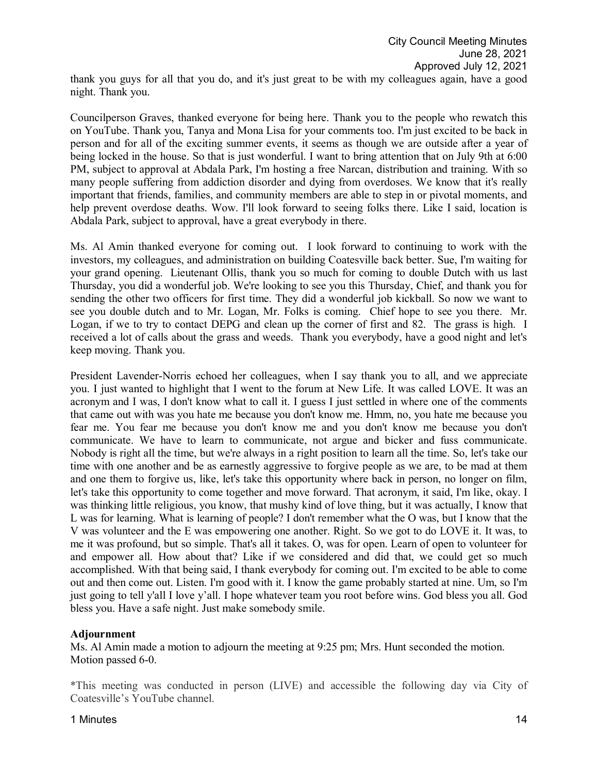thank you guys for all that you do, and it's just great to be with my colleagues again, have a good night. Thank you.

Councilperson Graves, thanked everyone for being here. Thank you to the people who rewatch this on YouTube. Thank you, Tanya and Mona Lisa for your comments too. I'm just excited to be back in person and for all of the exciting summer events, it seems as though we are outside after a year of being locked in the house. So that is just wonderful. I want to bring attention that on July 9th at 6:00 PM, subject to approval at Abdala Park, I'm hosting a free Narcan, distribution and training. With so many people suffering from addiction disorder and dying from overdoses. We know that it's really important that friends, families, and community members are able to step in or pivotal moments, and help prevent overdose deaths. Wow. I'll look forward to seeing folks there. Like I said, location is Abdala Park, subject to approval, have a great everybody in there.

Ms. Al Amin thanked everyone for coming out. I look forward to continuing to work with the investors, my colleagues, and administration on building Coatesville back better. Sue, I'm waiting for your grand opening. Lieutenant Ollis, thank you so much for coming to double Dutch with us last Thursday, you did a wonderful job. We're looking to see you this Thursday, Chief, and thank you for sending the other two officers for first time. They did a wonderful job kickball. So now we want to see you double dutch and to Mr. Logan, Mr. Folks is coming. Chief hope to see you there. Mr. Logan, if we to try to contact DEPG and clean up the corner of first and 82. The grass is high. I received a lot of calls about the grass and weeds. Thank you everybody, have a good night and let's keep moving. Thank you.

President Lavender-Norris echoed her colleagues, when I say thank you to all, and we appreciate you. I just wanted to highlight that I went to the forum at New Life. It was called LOVE. It was an acronym and I was, I don't know what to call it. I guess I just settled in where one of the comments that came out with was you hate me because you don't know me. Hmm, no, you hate me because you fear me. You fear me because you don't know me and you don't know me because you don't communicate. We have to learn to communicate, not argue and bicker and fuss communicate. Nobody is right all the time, but we're always in a right position to learn all the time. So, let's take our time with one another and be as earnestly aggressive to forgive people as we are, to be mad at them and one them to forgive us, like, let's take this opportunity where back in person, no longer on film, let's take this opportunity to come together and move forward. That acronym, it said, I'm like, okay. I was thinking little religious, you know, that mushy kind of love thing, but it was actually, I know that L was for learning. What is learning of people? I don't remember what the O was, but I know that the V was volunteer and the E was empowering one another. Right. So we got to do LOVE it. It was, to me it was profound, but so simple. That's all it takes. O, was for open. Learn of open to volunteer for and empower all. How about that? Like if we considered and did that, we could get so much accomplished. With that being said, I thank everybody for coming out. I'm excited to be able to come out and then come out. Listen. I'm good with it. I know the game probably started at nine. Um, so I'm just going to tell y'all I love y'all. I hope whatever team you root before wins. God bless you all. God bless you. Have a safe night. Just make somebody smile.

## **Adjournment**

Ms. Al Amin made a motion to adjourn the meeting at 9:25 pm; Mrs. Hunt seconded the motion. Motion passed 6-0.

\*This meeting was conducted in person (LIVE) and accessible the following day via City of Coatesville's YouTube channel.

## 1 Minutes **14**